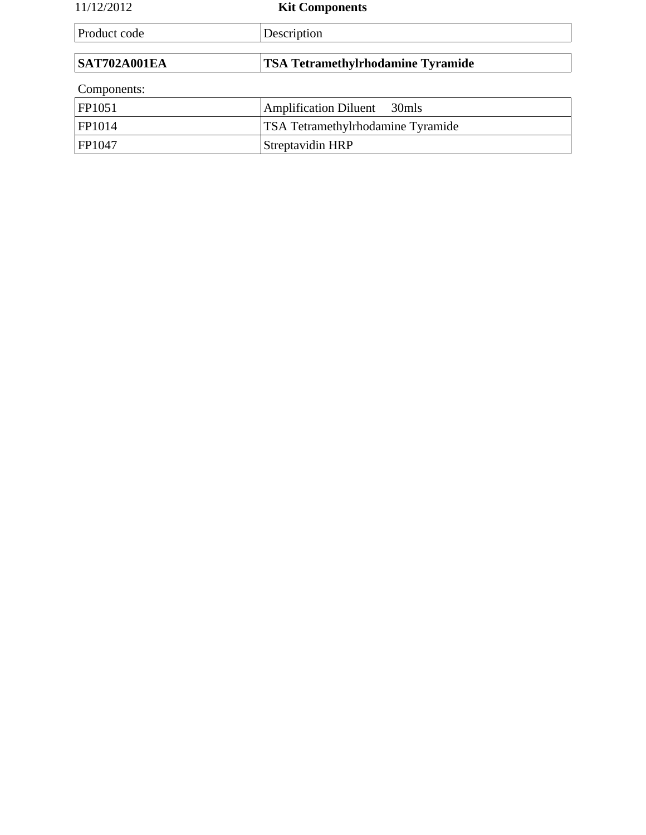| 11/12/2012          | <b>Kit Components</b>                    |  |
|---------------------|------------------------------------------|--|
| Product code        | Description                              |  |
|                     |                                          |  |
| <b>SAT702A001EA</b> | <b>TSA Tetramethylrhodamine Tyramide</b> |  |
| Components:         |                                          |  |
| FP1051              | <b>Amplification Diluent</b><br>30mls    |  |
| FP1014              | TSA Tetramethylrhodamine Tyramide        |  |
| FP1047              | Streptavidin HRP                         |  |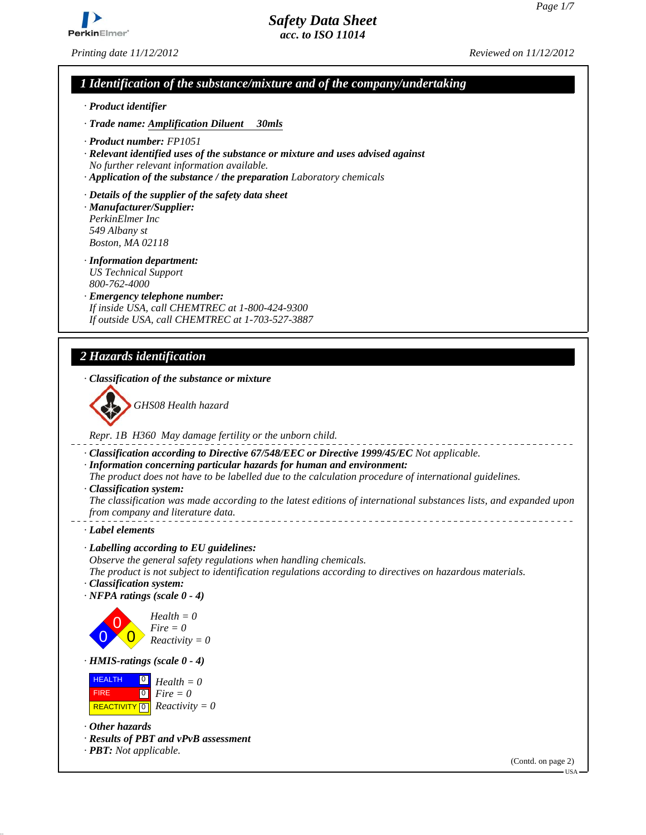

*Printing date 11/12/2012 Reviewed on 11/12/2012*

*Safety Data Sheet acc. to ISO 11014*

# *1 Identification of the substance/mixture and of the company/undertaking*

- *· Product identifier*
- *· Trade name: Amplification Diluent 30mls*
- *· Product number: FP1051*
- *· Relevant identified uses of the substance or mixture and uses advised against No further relevant information available.*
- *· Application of the substance / the preparation Laboratory chemicals*
- *· Details of the supplier of the safety data sheet*
- *· Manufacturer/Supplier: PerkinElmer Inc 549 Albany st Boston, MA 02118*
- *· Information department: US Technical Support 800-762-4000*
- *· Emergency telephone number: If inside USA, call CHEMTREC at 1-800-424-9300 If outside USA, call CHEMTREC at 1-703-527-3887*

# *2 Hazards identification*

*· Classification of the substance or mixture*



*Repr. 1B H360 May damage fertility or the unborn child.*

- *· Classification according to Directive 67/548/EEC or Directive 1999/45/EC Not applicable.*
- *· Information concerning particular hazards for human and environment:*
- *The product does not have to be labelled due to the calculation procedure of international guidelines.*
- *· Classification system:*
- *The classification was made according to the latest editions of international substances lists, and expanded upon from company and literature data.*
- *· Label elements*
- *· Labelling according to EU guidelines:*
- *Observe the general safety regulations when handling chemicals.*
- *The product is not subject to identification regulations according to directives on hazardous materials.*
- *· Classification system:*
- *· NFPA ratings (scale 0 4)*



*Reactivity = 0*

*· HMIS-ratings (scale 0 - 4)*

| <b>HEALTH</b> | $\Box$ Health = 0                                    |
|---------------|------------------------------------------------------|
| <b>FIRE</b>   | $\begin{bmatrix} 0 \\ \hline \end{bmatrix}$ Fire = 0 |
|               | <b>REACTIVITY</b> $\boxed{0}$ <i>Reactivity</i> = 0  |

*· Other hazards*

- *· Results of PBT and vPvB assessment*
- *· PBT: Not applicable.*

(Contd. on page 2)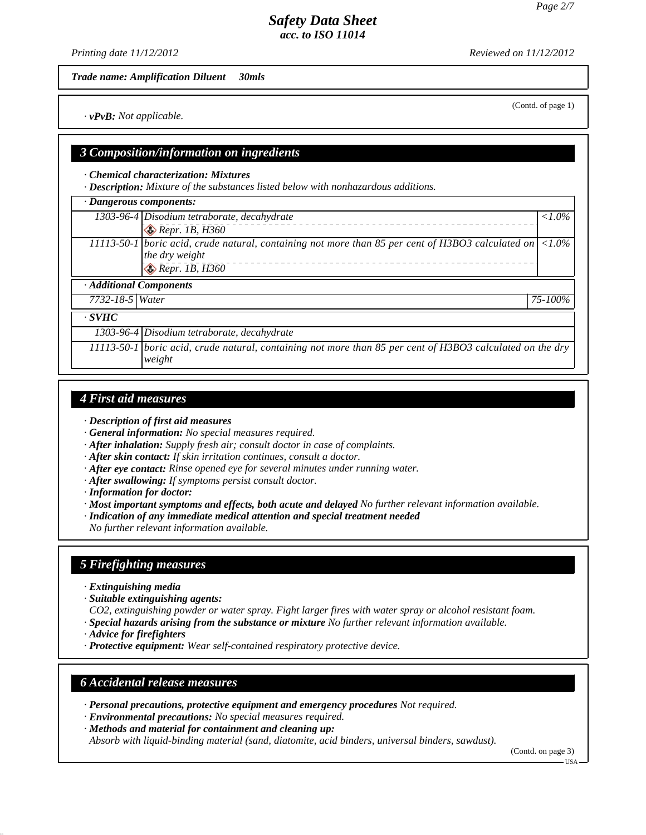*Printing date 11/12/2012 Reviewed on 11/12/2012*

*Trade name: Amplification Diluent 30mls*

*· vPvB: Not applicable.*

#### *3 Composition/information on ingredients*

*· Chemical characterization: Mixtures*

*· Description: Mixture of the substances listed below with nonhazardous additions.*

| · Dangerous components: |                                                                                                                                                                |                 |
|-------------------------|----------------------------------------------------------------------------------------------------------------------------------------------------------------|-----------------|
|                         | 1303-96-4 Disodium tetraborate, decahydrate                                                                                                                    | $\langle 1.0\%$ |
|                         | $\bigotimes$ Repr. 1B, H360                                                                                                                                    |                 |
|                         | $11113-50-1$ boric acid, crude natural, containing not more than 85 per cent of H3BO3 calculated on $ $ <1.0%<br>the dry weight<br>$\bigotimes$ Repr. 1B, H360 |                 |
| · Additional Components |                                                                                                                                                                |                 |
| 7732-18-5 Water         |                                                                                                                                                                | 75-100%         |
| $\cdot$ SVHC            |                                                                                                                                                                |                 |
|                         | 1303-96-4 Disodium tetraborate, decahydrate                                                                                                                    |                 |
|                         | 11113-50-1 boric acid, crude natural, containing not more than 85 per cent of H3BO3 calculated on the dry<br>weight                                            |                 |
|                         |                                                                                                                                                                |                 |

### *4 First aid measures*

- *· Description of first aid measures*
- *· General information: No special measures required.*
- *· After inhalation: Supply fresh air; consult doctor in case of complaints.*
- *· After skin contact: If skin irritation continues, consult a doctor.*
- *· After eye contact: Rinse opened eye for several minutes under running water.*
- *· After swallowing: If symptoms persist consult doctor.*
- *· Information for doctor:*
- *· Most important symptoms and effects, both acute and delayed No further relevant information available.*
- *· Indication of any immediate medical attention and special treatment needed*

*No further relevant information available.*

# *5 Firefighting measures*

- *· Extinguishing media*
- *· Suitable extinguishing agents:*

*CO2, extinguishing powder or water spray. Fight larger fires with water spray or alcohol resistant foam. · Special hazards arising from the substance or mixture No further relevant information available.*

- *· Advice for firefighters*
- *· Protective equipment: Wear self-contained respiratory protective device.*

### *6 Accidental release measures*

*· Personal precautions, protective equipment and emergency procedures Not required.*

- *· Environmental precautions: No special measures required.*
- *· Methods and material for containment and cleaning up:*

*Absorb with liquid-binding material (sand, diatomite, acid binders, universal binders, sawdust).*

(Contd. on page 3)

 $-<sub>USA</sub>$ 

# (Contd. of page 1)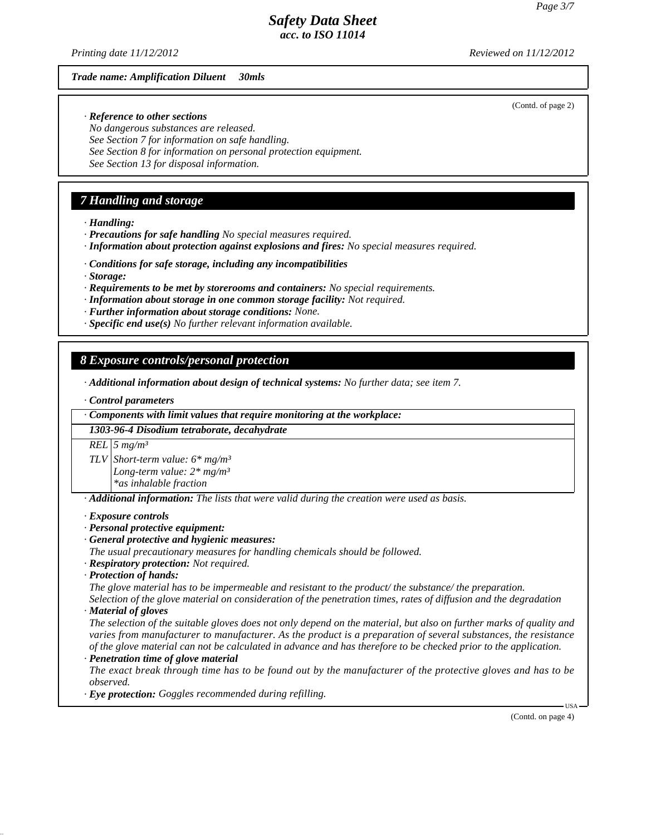(Contd. of page 2)

# *Safety Data Sheet acc. to ISO 11014*

*Printing date 11/12/2012 Reviewed on 11/12/2012*

#### *Trade name: Amplification Diluent 30mls*

*· Reference to other sections*

*No dangerous substances are released. See Section 7 for information on safe handling. See Section 8 for information on personal protection equipment. See Section 13 for disposal information.*

# *7 Handling and storage*

*· Handling:*

- *· Precautions for safe handling No special measures required.*
- *· Information about protection against explosions and fires: No special measures required.*
- *· Conditions for safe storage, including any incompatibilities*
- *· Storage:*
- *· Requirements to be met by storerooms and containers: No special requirements.*
- *· Information about storage in one common storage facility: Not required.*
- *· Further information about storage conditions: None.*
- *· Specific end use(s) No further relevant information available.*

# *8 Exposure controls/personal protection*

*· Additional information about design of technical systems: No further data; see item 7.*

*· Control parameters*

*· Components with limit values that require monitoring at the workplace:*

*1303-96-4 Disodium tetraborate, decahydrate*

*REL 5 mg/m³*

*TLV Short-term value: 6\* mg/m³ Long-term value: 2\* mg/m³*

*\*as inhalable fraction*

*· Additional information: The lists that were valid during the creation were used as basis.*

#### *· Exposure controls*

- *· Personal protective equipment:*
- *· General protective and hygienic measures:*

*The usual precautionary measures for handling chemicals should be followed.*

- *· Respiratory protection: Not required.*
- *· Protection of hands:*

*The glove material has to be impermeable and resistant to the product/ the substance/ the preparation. Selection of the glove material on consideration of the penetration times, rates of diffusion and the degradation*

*· Material of gloves*

*The selection of the suitable gloves does not only depend on the material, but also on further marks of quality and varies from manufacturer to manufacturer. As the product is a preparation of several substances, the resistance of the glove material can not be calculated in advance and has therefore to be checked prior to the application.*

*· Penetration time of glove material*

*The exact break through time has to be found out by the manufacturer of the protective gloves and has to be observed.*

*· Eye protection: Goggles recommended during refilling.*

(Contd. on page 4)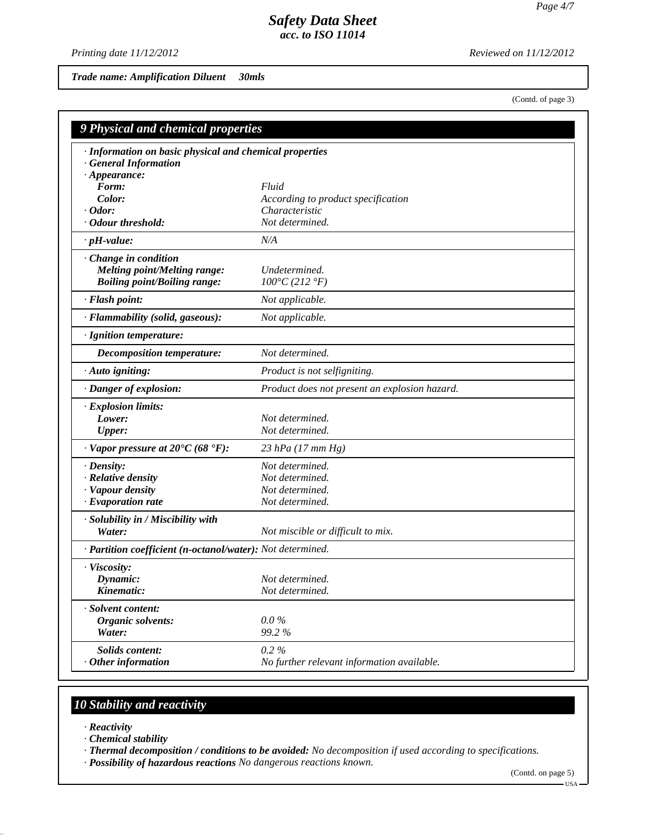*Printing date 11/12/2012 Reviewed on 11/12/2012*

*Trade name: Amplification Diluent 30mls*

(Contd. of page 3)

| 9 Physical and chemical properties                                                                      |                                               |  |
|---------------------------------------------------------------------------------------------------------|-----------------------------------------------|--|
| · Information on basic physical and chemical properties<br>· General Information<br>$\cdot$ Appearance: |                                               |  |
| Form:                                                                                                   | Fluid                                         |  |
| Color:                                                                                                  | According to product specification            |  |
| $\cdot$ Odor:                                                                                           | Characteristic                                |  |
| · Odour threshold:                                                                                      | Not determined.                               |  |
| $\cdot$ pH-value:                                                                                       | N/A                                           |  |
| Change in condition<br><b>Melting point/Melting range:</b><br><b>Boiling point/Boiling range:</b>       | Undetermined.<br>$100^{\circ}C(212^{\circ}F)$ |  |
| · Flash point:                                                                                          | Not applicable.                               |  |
| · Flammability (solid, gaseous):                                                                        | Not applicable.                               |  |
| · Ignition temperature:                                                                                 |                                               |  |
| Decomposition temperature:                                                                              | Not determined.                               |  |
| · Auto igniting:                                                                                        | Product is not selfigniting.                  |  |
| · Danger of explosion:                                                                                  | Product does not present an explosion hazard. |  |
| · Explosion limits:                                                                                     |                                               |  |
| Lower:                                                                                                  | Not determined.                               |  |
| <b>Upper:</b>                                                                                           | Not determined.                               |  |
| $\cdot$ Vapor pressure at 20°C (68 °F):                                                                 | 23 hPa $(17 \, mm \, Hg)$                     |  |
| $\cdot$ Density:                                                                                        | Not determined.                               |  |
| · Relative density                                                                                      | Not determined.                               |  |
| · Vapour density                                                                                        | Not determined.                               |  |
| $\cdot$ Evaporation rate                                                                                | Not determined.                               |  |
| · Solubility in / Miscibility with                                                                      |                                               |  |
| Water:                                                                                                  | Not miscible or difficult to mix.             |  |
| · Partition coefficient (n-octanol/water): Not determined.                                              |                                               |  |
| · Viscosity:                                                                                            |                                               |  |
| Dynamic:                                                                                                | Not determined.                               |  |
| Kinematic:                                                                                              | Not determined.                               |  |
| · Solvent content:                                                                                      |                                               |  |
| Organic solvents:                                                                                       | $0.0\%$                                       |  |
| Water:                                                                                                  | 99.2%                                         |  |
| Solids content:                                                                                         | 0.2%                                          |  |
| $·$ Other information                                                                                   | No further relevant information available.    |  |

# *10 Stability and reactivity*

- *· Reactivity*
- *· Chemical stability*
- *· Thermal decomposition / conditions to be avoided: No decomposition if used according to specifications.*
- *· Possibility of hazardous reactions No dangerous reactions known.*

(Contd. on page 5)

 $-<sub>USA</sub>$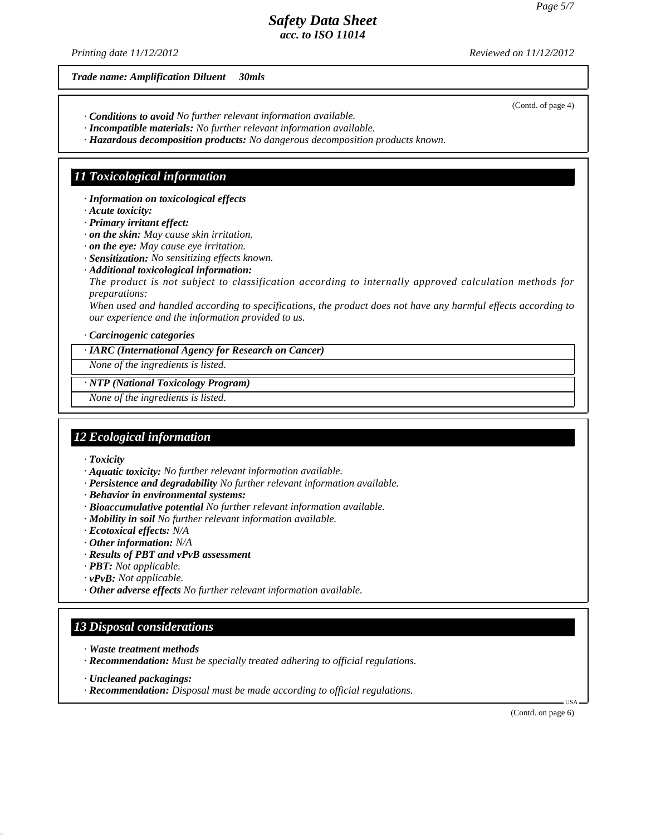*Printing date 11/12/2012 Reviewed on 11/12/2012*

(Contd. of page 4)

*Trade name: Amplification Diluent 30mls*

- *· Conditions to avoid No further relevant information available.*
- *· Incompatible materials: No further relevant information available.*
- *· Hazardous decomposition products: No dangerous decomposition products known.*

# *11 Toxicological information*

*· Information on toxicological effects*

- *· Acute toxicity:*
- *· Primary irritant effect:*
- *· on the skin: May cause skin irritation.*
- *· on the eye: May cause eye irritation.*
- *· Sensitization: No sensitizing effects known.*
- *· Additional toxicological information:*

*The product is not subject to classification according to internally approved calculation methods for preparations:*

*When used and handled according to specifications, the product does not have any harmful effects according to our experience and the information provided to us.*

*· Carcinogenic categories*

#### *· IARC (International Agency for Research on Cancer)*

*None of the ingredients is listed.*

*· NTP (National Toxicology Program)*

*None of the ingredients is listed.*

# *12 Ecological information*

- *· Toxicity*
- *· Aquatic toxicity: No further relevant information available.*
- *· Persistence and degradability No further relevant information available.*
- *· Behavior in environmental systems:*
- *· Bioaccumulative potential No further relevant information available.*
- *· Mobility in soil No further relevant information available.*
- *· Ecotoxical effects: N/A*
- *· Other information: N/A*
- *· Results of PBT and vPvB assessment*
- *· PBT: Not applicable.*
- *· vPvB: Not applicable.*
- *· Other adverse effects No further relevant information available.*

## *13 Disposal considerations*

- *· Waste treatment methods*
- *· Recommendation: Must be specially treated adhering to official regulations.*
- *· Uncleaned packagings:*
- *· Recommendation: Disposal must be made according to official regulations.*

(Contd. on page 6)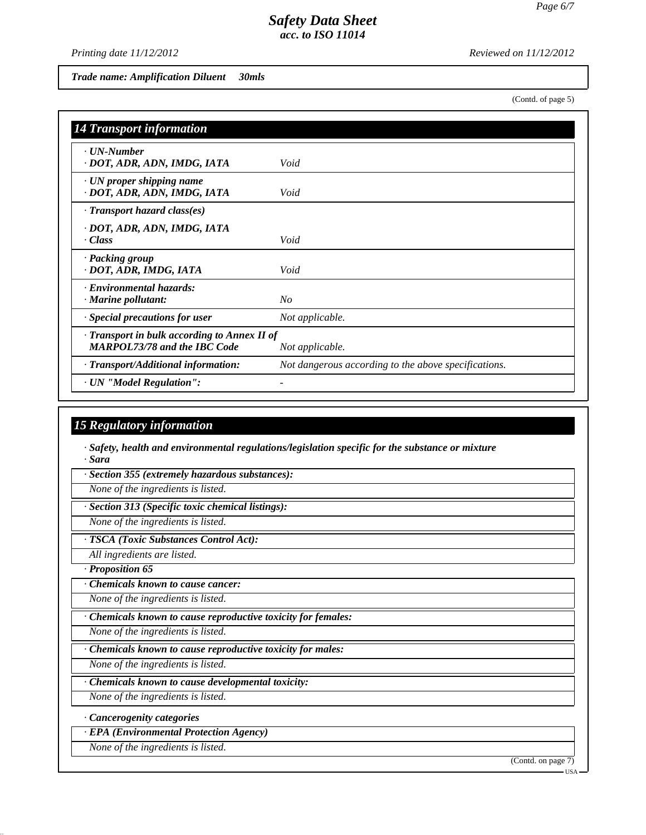*Printing date 11/12/2012 Reviewed on 11/12/2012*

*Trade name: Amplification Diluent 30mls*

(Contd. of page 5)

| <b>14 Transport information</b>                                                     |                                                      |
|-------------------------------------------------------------------------------------|------------------------------------------------------|
| · UN-Number<br>· DOT, ADR, ADN, IMDG, IATA                                          | Void                                                 |
| $\cdot$ UN proper shipping name<br>· DOT, ADR, ADN, IMDG, IATA                      | Void                                                 |
| $\cdot$ Transport hazard class(es)                                                  |                                                      |
| · DOT, ADR, ADN, IMDG, IATA<br>$\cdot$ Class                                        | Void                                                 |
| · Packing group<br>· DOT, ADR, IMDG, IATA                                           | Void                                                 |
| · Environmental hazards:<br>$\cdot$ Marine pollutant:                               | N <sub>O</sub>                                       |
| · Special precautions for user                                                      | Not applicable.                                      |
| · Transport in bulk according to Annex II of<br><b>MARPOL73/78 and the IBC Code</b> | Not applicable.                                      |
| · Transport/Additional information:                                                 | Not dangerous according to the above specifications. |
| · UN "Model Regulation":                                                            |                                                      |

# *15 Regulatory information*

*· Safety, health and environmental regulations/legislation specific for the substance or mixture · Sara*

*· Section 355 (extremely hazardous substances):*

*None of the ingredients is listed.*

*· Section 313 (Specific toxic chemical listings):*

*None of the ingredients is listed.*

*· TSCA (Toxic Substances Control Act):*

*All ingredients are listed.*

*· Proposition 65*

*· Chemicals known to cause cancer:*

*None of the ingredients is listed.*

*· Chemicals known to cause reproductive toxicity for females:*

*None of the ingredients is listed.*

*· Chemicals known to cause reproductive toxicity for males:*

*None of the ingredients is listed.*

*· Chemicals known to cause developmental toxicity:*

*None of the ingredients is listed.*

*· Cancerogenity categories*

*· EPA (Environmental Protection Agency)*

*None of the ingredients is listed.*

(Contd. on page 7)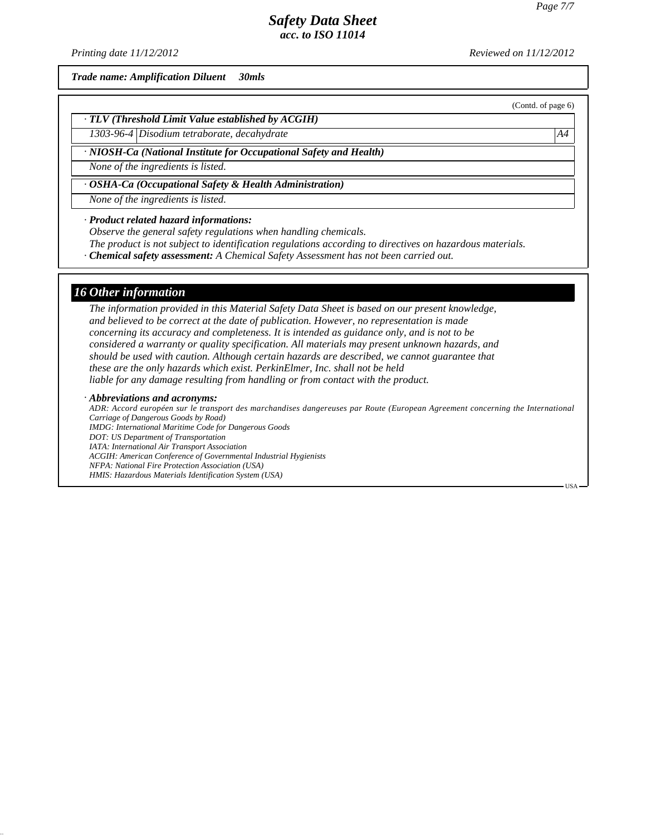*Printing date 11/12/2012 Reviewed on 11/12/2012*

*Trade name: Amplification Diluent 30mls*

(Contd. of page 6)

*· TLV (Threshold Limit Value established by ACGIH)*

*1303-96-4 Disodium tetraborate, decahydrate A4*

*· NIOSH-Ca (National Institute for Occupational Safety and Health)*

*None of the ingredients is listed.*

*· OSHA-Ca (Occupational Safety & Health Administration)*

*None of the ingredients is listed.*

*· Product related hazard informations:*

*Observe the general safety regulations when handling chemicals.*

*The product is not subject to identification regulations according to directives on hazardous materials.*

*· Chemical safety assessment: A Chemical Safety Assessment has not been carried out.*

#### *16 Other information*

*The information provided in this Material Safety Data Sheet is based on our present knowledge, and believed to be correct at the date of publication. However, no representation is made concerning its accuracy and completeness. It is intended as guidance only, and is not to be considered a warranty or quality specification. All materials may present unknown hazards, and should be used with caution. Although certain hazards are described, we cannot guarantee that these are the only hazards which exist. PerkinElmer, Inc. shall not be held liable for any damage resulting from handling or from contact with the product.*

#### *· Abbreviations and acronyms:*

*ADR: Accord européen sur le transport des marchandises dangereuses par Route (European Agreement concerning the International Carriage of Dangerous Goods by Road) IMDG: International Maritime Code for Dangerous Goods DOT: US Department of Transportation IATA: International Air Transport Association ACGIH: American Conference of Governmental Industrial Hygienists NFPA: National Fire Protection Association (USA) HMIS: Hazardous Materials Identification System (USA)*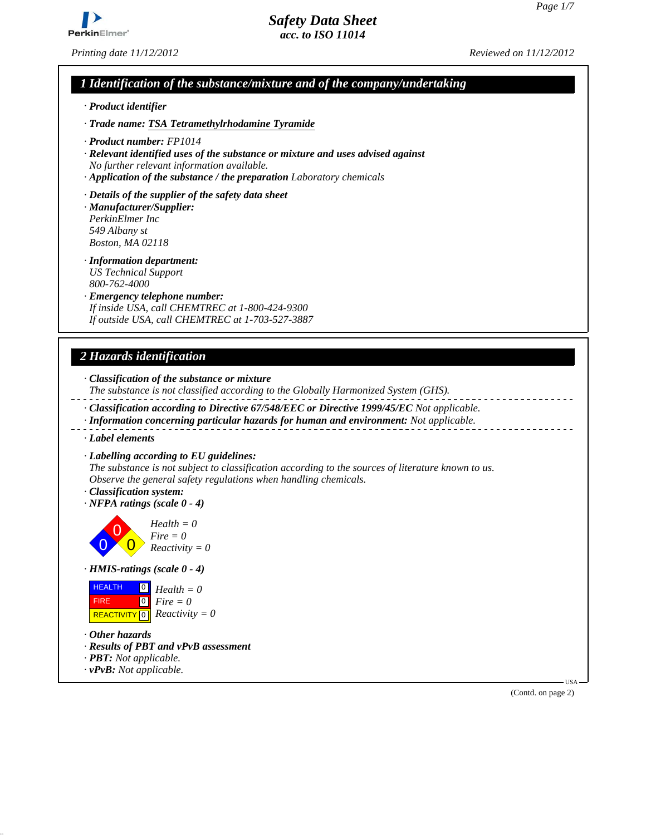

*Printing date 11/12/2012 Reviewed on 11/12/2012*

# *1 Identification of the substance/mixture and of the company/undertaking*

- *· Product identifier*
- *· Trade name: TSA Tetramethylrhodamine Tyramide*
- *· Product number: FP1014*
- *· Relevant identified uses of the substance or mixture and uses advised against No further relevant information available.*
- *· Application of the substance / the preparation Laboratory chemicals*
- *· Details of the supplier of the safety data sheet*
- *· Manufacturer/Supplier: PerkinElmer Inc 549 Albany st Boston, MA 02118*
- *· Information department: US Technical Support 800-762-4000*
- *· Emergency telephone number: If inside USA, call CHEMTREC at 1-800-424-9300 If outside USA, call CHEMTREC at 1-703-527-3887*

# *2 Hazards identification*

- *· Classification of the substance or mixture*
- *The substance is not classified according to the Globally Harmonized System (GHS).*
- *· Classification according to Directive 67/548/EEC or Directive 1999/45/EC Not applicable.*
- *· Information concerning particular hazards for human and environment: Not applicable.*
- *· Label elements*
- *· Labelling according to EU guidelines:*
- *The substance is not subject to classification according to the sources of literature known to us. Observe the general safety regulations when handling chemicals.*
- *· Classification system:*
- *· NFPA ratings (scale 0 4)*



*· HMIS-ratings (scale 0 - 4)*



- *· Other hazards*
- *· Results of PBT and vPvB assessment*
- *· PBT: Not applicable.*
- *· vPvB: Not applicable.*

(Contd. on page 2)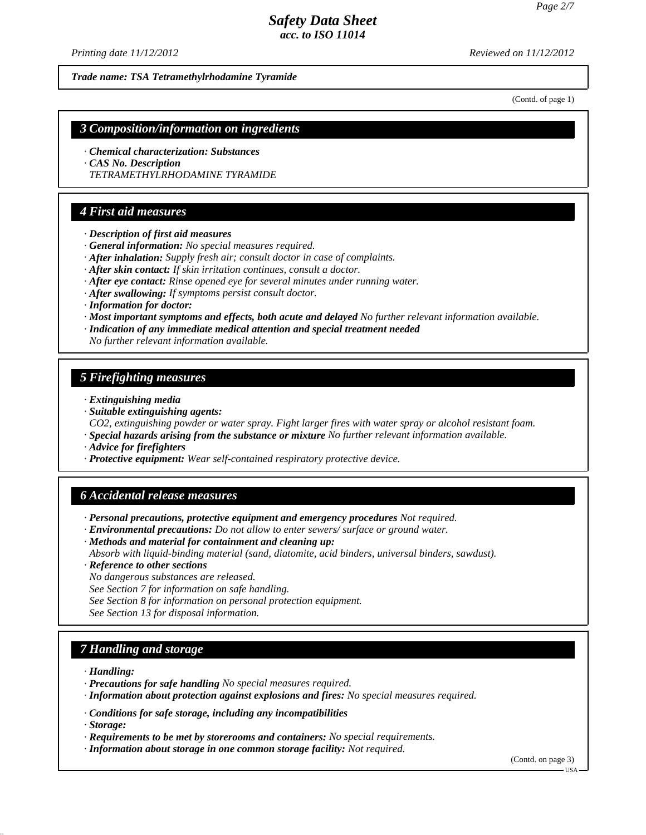*Printing date 11/12/2012 Reviewed on 11/12/2012*

*Trade name: TSA Tetramethylrhodamine Tyramide*

(Contd. of page 1)

#### *3 Composition/information on ingredients*

- *· Chemical characterization: Substances*
- *· CAS No. Description*
- *TETRAMETHYLRHODAMINE TYRAMIDE*

## *4 First aid measures*

- *· Description of first aid measures*
- *· General information: No special measures required.*
- *· After inhalation: Supply fresh air; consult doctor in case of complaints.*
- *· After skin contact: If skin irritation continues, consult a doctor.*
- *· After eye contact: Rinse opened eye for several minutes under running water.*
- *· After swallowing: If symptoms persist consult doctor.*
- *· Information for doctor:*
- *· Most important symptoms and effects, both acute and delayed No further relevant information available.*
- *· Indication of any immediate medical attention and special treatment needed*
- *No further relevant information available.*

### *5 Firefighting measures*

- *· Extinguishing media*
- *· Suitable extinguishing agents:*

*CO2, extinguishing powder or water spray. Fight larger fires with water spray or alcohol resistant foam.*

- *· Special hazards arising from the substance or mixture No further relevant information available.*
- *· Advice for firefighters*
- *· Protective equipment: Wear self-contained respiratory protective device.*

#### *6 Accidental release measures*

- *· Personal precautions, protective equipment and emergency procedures Not required.*
- *· Environmental precautions: Do not allow to enter sewers/ surface or ground water.*
- *· Methods and material for containment and cleaning up:*
- *Absorb with liquid-binding material (sand, diatomite, acid binders, universal binders, sawdust).*
- *· Reference to other sections*
- *No dangerous substances are released.*
- *See Section 7 for information on safe handling.*
- *See Section 8 for information on personal protection equipment.*
- *See Section 13 for disposal information.*

### *7 Handling and storage*

*· Handling:*

- *· Precautions for safe handling No special measures required.*
- *· Information about protection against explosions and fires: No special measures required.*
- *· Conditions for safe storage, including any incompatibilities*

*· Storage:*

- *· Requirements to be met by storerooms and containers: No special requirements.*
- *· Information about storage in one common storage facility: Not required.*

(Contd. on page 3)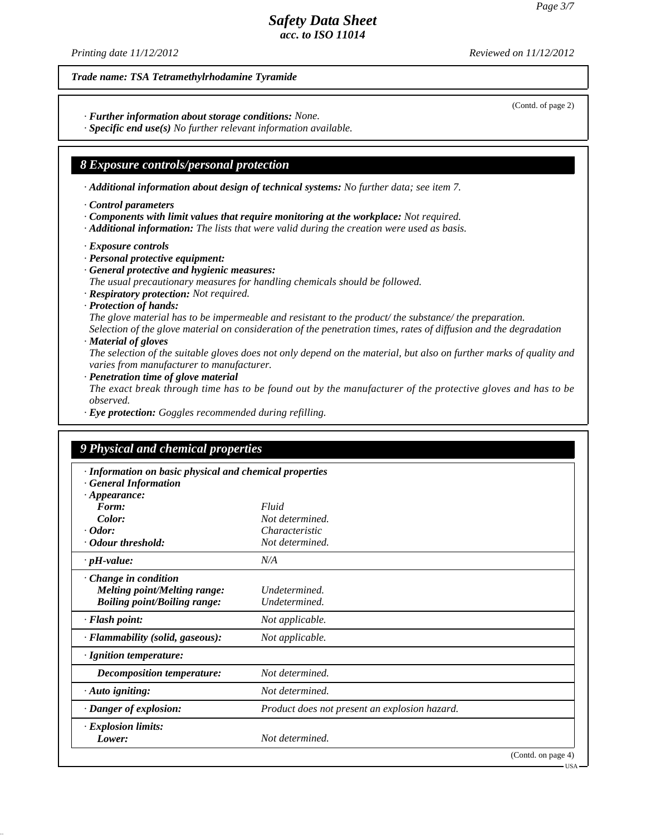(Contd. of page 2)

# *Safety Data Sheet acc. to ISO 11014*

*Printing date 11/12/2012 Reviewed on 11/12/2012*

#### *Trade name: TSA Tetramethylrhodamine Tyramide*

*· Further information about storage conditions: None.*

*· Specific end use(s) No further relevant information available.*

### *8 Exposure controls/personal protection*

*· Additional information about design of technical systems: No further data; see item 7.*

- *· Control parameters*
- *· Components with limit values that require monitoring at the workplace: Not required.*
- *· Additional information: The lists that were valid during the creation were used as basis.*
- *· Exposure controls*
- *· Personal protective equipment:*
- *· General protective and hygienic measures:*

*The usual precautionary measures for handling chemicals should be followed.*

- *· Respiratory protection: Not required.*
- *· Protection of hands:*

*The glove material has to be impermeable and resistant to the product/ the substance/ the preparation.*

*Selection of the glove material on consideration of the penetration times, rates of diffusion and the degradation · Material of gloves*

*The selection of the suitable gloves does not only depend on the material, but also on further marks of quality and varies from manufacturer to manufacturer.*

*· Penetration time of glove material*

*The exact break through time has to be found out by the manufacturer of the protective gloves and has to be observed.*

*· Eye protection: Goggles recommended during refilling.*

| · Information on basic physical and chemical properties |                                               |  |
|---------------------------------------------------------|-----------------------------------------------|--|
| <b>General Information</b>                              |                                               |  |
| $\cdot$ Appearance:                                     |                                               |  |
| Form:                                                   | Fluid                                         |  |
| Color:                                                  | Not determined.                               |  |
| $\cdot$ Odor:                                           | Characteristic                                |  |
| Odour threshold:                                        | Not determined.                               |  |
| $\cdot$ pH-value:                                       | N/A                                           |  |
| Change in condition                                     |                                               |  |
| <b>Melting point/Melting range:</b>                     | Undetermined.                                 |  |
| <b>Boiling point/Boiling range:</b>                     | Undetermined.                                 |  |
| · Flash point:                                          | Not applicable.                               |  |
| · Flammability (solid, gaseous):                        | Not applicable.                               |  |
| · Ignition temperature:                                 |                                               |  |
| <b>Decomposition temperature:</b>                       | Not determined.                               |  |
| $\cdot$ Auto igniting:                                  | Not determined.                               |  |
| · Danger of explosion:                                  | Product does not present an explosion hazard. |  |
| · Explosion limits:                                     |                                               |  |
| Lower:                                                  | Not determined.                               |  |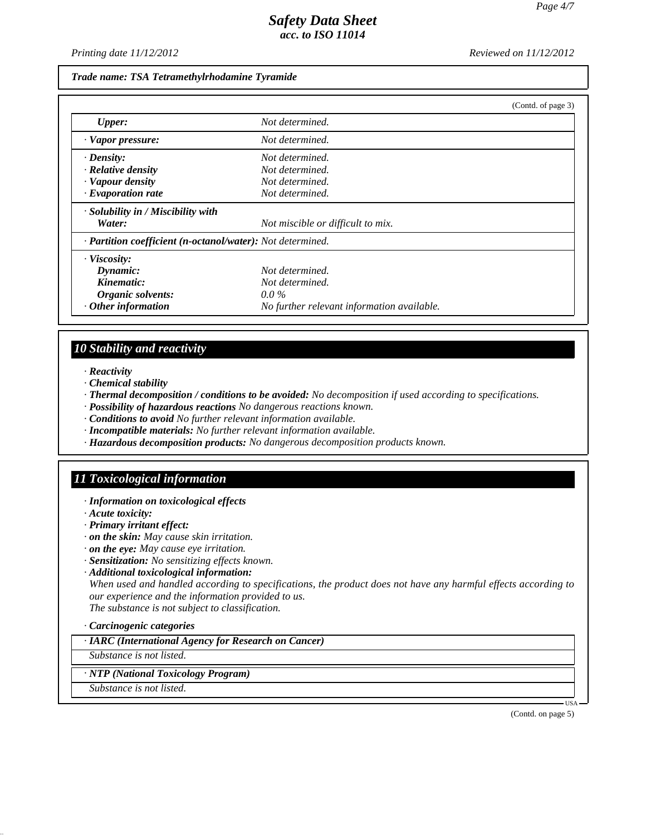*Printing date 11/12/2012 Reviewed on 11/12/2012*

#### *Trade name: TSA Tetramethylrhodamine Tyramide*

|                                                            |                                            | (Contd. of page 3) |
|------------------------------------------------------------|--------------------------------------------|--------------------|
| <b>Upper:</b>                                              | Not determined.                            |                    |
| · Vapor pressure:                                          | Not determined.                            |                    |
| $\cdot$ Density:                                           | Not determined.                            |                    |
| $\cdot$ Relative density                                   | Not determined.                            |                    |
| · Vapour density                                           | Not determined.                            |                    |
| $\cdot$ Evaporation rate                                   | Not determined.                            |                    |
| $\cdot$ Solubility in / Miscibility with                   |                                            |                    |
| Water:                                                     | Not miscible or difficult to mix.          |                    |
| · Partition coefficient (n-octanol/water): Not determined. |                                            |                    |
| · Viscosity:                                               |                                            |                    |
| Dynamic:                                                   | Not determined.                            |                    |
| Kinematic:                                                 | Not determined.                            |                    |
| Organic solvents:                                          | $0.0\%$                                    |                    |
| $\cdot$ Other information                                  | No further relevant information available. |                    |

# *10 Stability and reactivity*

*· Reactivity*

- *· Chemical stability*
- *· Thermal decomposition / conditions to be avoided: No decomposition if used according to specifications.*
- *· Possibility of hazardous reactions No dangerous reactions known.*
- *· Conditions to avoid No further relevant information available.*
- *· Incompatible materials: No further relevant information available.*
- *· Hazardous decomposition products: No dangerous decomposition products known.*

### *11 Toxicological information*

- *· Information on toxicological effects*
- *· Acute toxicity:*
- *· Primary irritant effect:*
- *· on the skin: May cause skin irritation.*
- *· on the eye: May cause eye irritation.*
- *· Sensitization: No sensitizing effects known.*
- *· Additional toxicological information:*

*When used and handled according to specifications, the product does not have any harmful effects according to our experience and the information provided to us. The substance is not subject to classification.*

*· Carcinogenic categories*

*· IARC (International Agency for Research on Cancer)*

*Substance is not listed.*

*· NTP (National Toxicology Program)*

*Substance is not listed.*

(Contd. on page 5)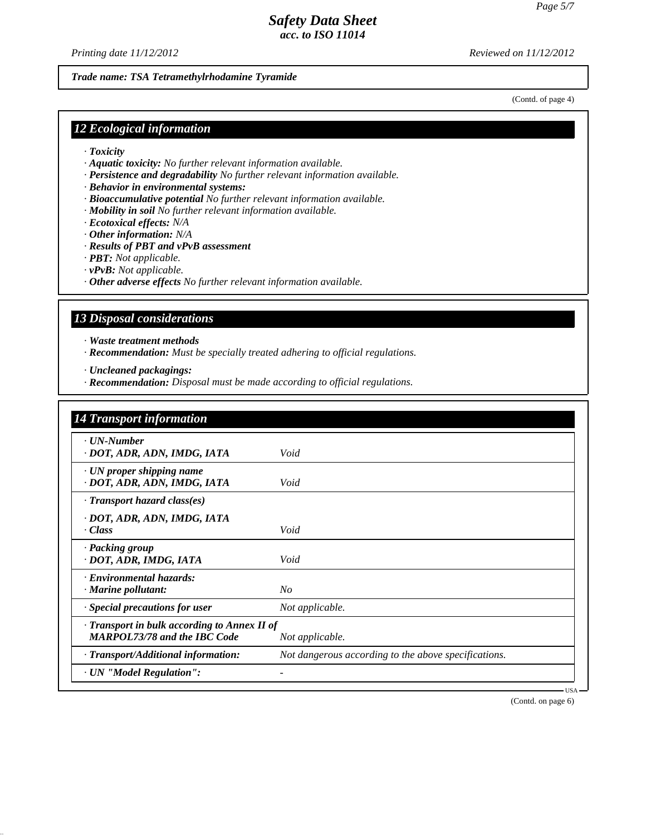*Printing date 11/12/2012 Reviewed on 11/12/2012*

*Trade name: TSA Tetramethylrhodamine Tyramide*

(Contd. of page 4)

### *12 Ecological information*

- *· Toxicity*
- *· Aquatic toxicity: No further relevant information available.*
- *· Persistence and degradability No further relevant information available.*
- *· Behavior in environmental systems:*
- *· Bioaccumulative potential No further relevant information available.*
- *· Mobility in soil No further relevant information available.*
- *· Ecotoxical effects: N/A*
- *· Other information: N/A*
- *· Results of PBT and vPvB assessment*
- *· PBT: Not applicable.*
- *· vPvB: Not applicable.*
- *· Other adverse effects No further relevant information available.*

## *13 Disposal considerations*

*· Waste treatment methods*

*· Recommendation: Must be specially treated adhering to official regulations.*

*· Uncleaned packagings:*

*· Recommendation: Disposal must be made according to official regulations.*

| <b>14 Transport information</b>                                                           |                                                      |
|-------------------------------------------------------------------------------------------|------------------------------------------------------|
| · UN-Number<br>· DOT, ADR, ADN, IMDG, IATA                                                | Void                                                 |
| · UN proper shipping name<br>· DOT, ADR, ADN, IMDG, IATA                                  | Void                                                 |
| $\cdot$ Transport hazard class(es)                                                        |                                                      |
| · DOT, ADR, ADN, IMDG, IATA<br>· Class                                                    | Void                                                 |
| · Packing group<br>· DOT, ADR, IMDG, IATA                                                 | Void                                                 |
| · Environmental hazards:<br>· Marine pollutant:                                           | N <sub>O</sub>                                       |
| · Special precautions for user                                                            | Not applicable.                                      |
| $\cdot$ Transport in bulk according to Annex II of<br><b>MARPOL73/78 and the IBC Code</b> | Not applicable.                                      |
| · Transport/Additional information:                                                       | Not dangerous according to the above specifications. |
| · UN "Model Regulation":                                                                  |                                                      |

(Contd. on page 6)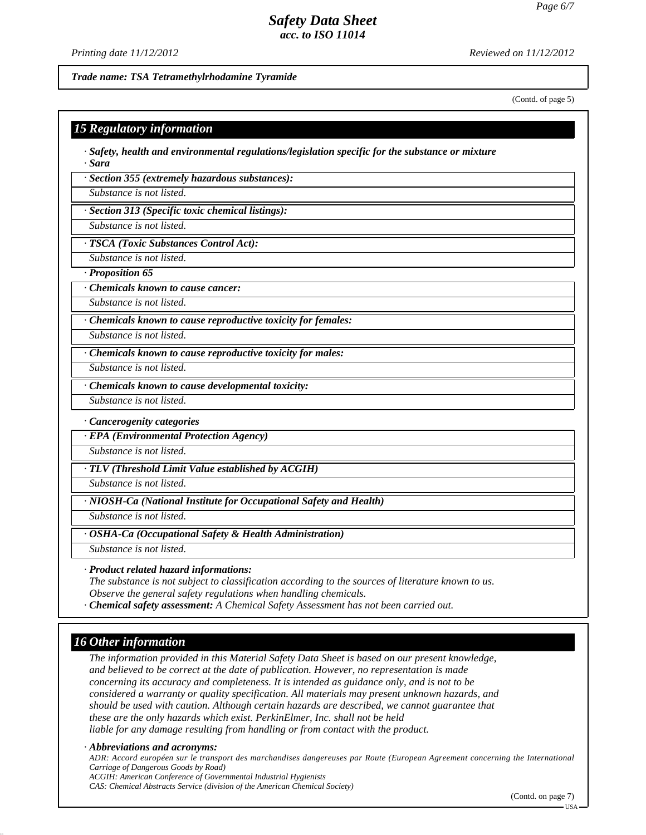*Printing date 11/12/2012 Reviewed on 11/12/2012*

*Trade name: TSA Tetramethylrhodamine Tyramide*

(Contd. of page 5)

### *15 Regulatory information*

*· Safety, health and environmental regulations/legislation specific for the substance or mixture · Sara*

*· Section 355 (extremely hazardous substances):*

*Substance is not listed.*

*· Section 313 (Specific toxic chemical listings):*

*Substance is not listed.*

*· TSCA (Toxic Substances Control Act):*

*Substance is not listed.*

*· Proposition 65*

*· Chemicals known to cause cancer:*

*Substance is not listed.*

*· Chemicals known to cause reproductive toxicity for females:*

*Substance is not listed.*

*· Chemicals known to cause reproductive toxicity for males:*

*Substance is not listed.*

*· Chemicals known to cause developmental toxicity:*

*Substance is not listed.*

*· Cancerogenity categories*

*· EPA (Environmental Protection Agency)*

*Substance is not listed.*

*· TLV (Threshold Limit Value established by ACGIH)*

*Substance is not listed.*

*· NIOSH-Ca (National Institute for Occupational Safety and Health)*

*Substance is not listed.*

*· OSHA-Ca (Occupational Safety & Health Administration)*

*Substance is not listed.*

#### *· Product related hazard informations:*

*The substance is not subject to classification according to the sources of literature known to us. Observe the general safety regulations when handling chemicals.*

*· Chemical safety assessment: A Chemical Safety Assessment has not been carried out.*

# *16 Other information*

*The information provided in this Material Safety Data Sheet is based on our present knowledge, and believed to be correct at the date of publication. However, no representation is made concerning its accuracy and completeness. It is intended as guidance only, and is not to be considered a warranty or quality specification. All materials may present unknown hazards, and should be used with caution. Although certain hazards are described, we cannot guarantee that these are the only hazards which exist. PerkinElmer, Inc. shall not be held liable for any damage resulting from handling or from contact with the product.*

#### *· Abbreviations and acronyms:*

*ADR: Accord européen sur le transport des marchandises dangereuses par Route (European Agreement concerning the International Carriage of Dangerous Goods by Road)*

*ACGIH: American Conference of Governmental Industrial Hygienists*

*CAS: Chemical Abstracts Service (division of the American Chemical Society)*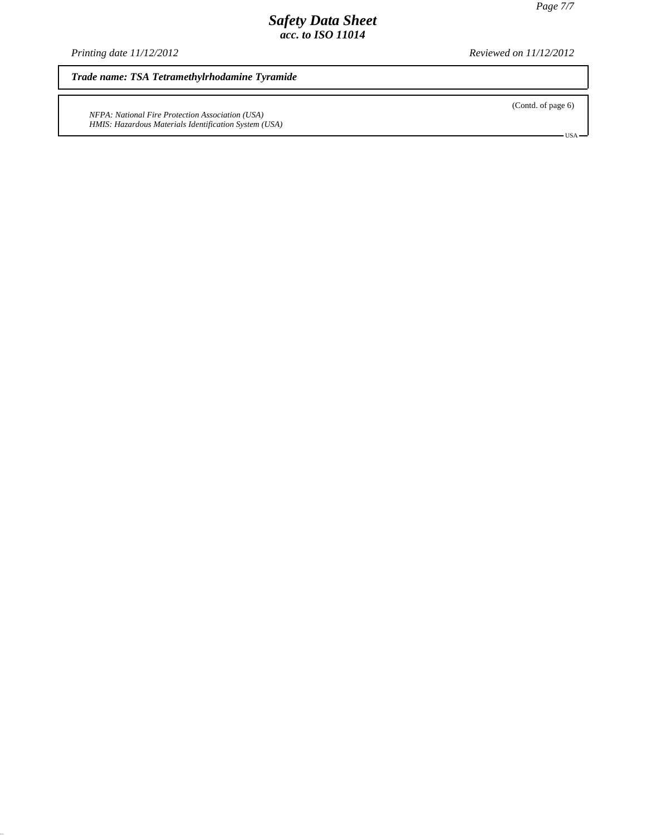*Printing date 11/12/2012 Reviewed on 11/12/2012*

*Trade name: TSA Tetramethylrhodamine Tyramide*

*NFPA: National Fire Protection Association (USA) HMIS: Hazardous Materials Identification System (USA)* (Contd. of page 6)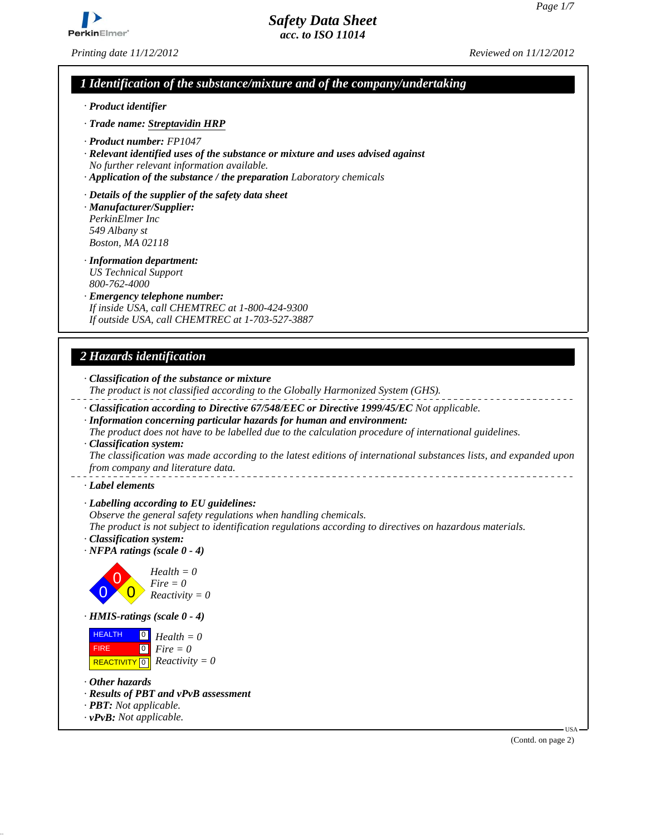

*Printing date 11/12/2012 Reviewed on 11/12/2012*

*Safety Data Sheet acc. to ISO 11014*

# *1 Identification of the substance/mixture and of the company/undertaking*

*· Product identifier*

*· Trade name: Streptavidin HRP*

- *· Product number: FP1047*
- *· Relevant identified uses of the substance or mixture and uses advised against No further relevant information available.*
- *· Application of the substance / the preparation Laboratory chemicals*
- *· Details of the supplier of the safety data sheet*
- *· Manufacturer/Supplier: PerkinElmer Inc 549 Albany st Boston, MA 02118*
- *· Information department: US Technical Support 800-762-4000*
- *· Emergency telephone number: If inside USA, call CHEMTREC at 1-800-424-9300 If outside USA, call CHEMTREC at 1-703-527-3887*

# *2 Hazards identification*

- *· Classification of the substance or mixture*
- *The product is not classified according to the Globally Harmonized System (GHS).*
- *· Classification according to Directive 67/548/EEC or Directive 1999/45/EC Not applicable.*
- *· Information concerning particular hazards for human and environment:*
- *The product does not have to be labelled due to the calculation procedure of international guidelines. · Classification system:*

*The classification was made according to the latest editions of international substances lists, and expanded upon from company and literature data.* 

*· Label elements*

*· Labelling according to EU guidelines:*

*Observe the general safety regulations when handling chemicals.*

*The product is not subject to identification regulations according to directives on hazardous materials.*

- *· Classification system: · NFPA ratings (scale 0 - 4)*
	- 0 0  $\overline{0}$ *Health = 0 Fire = 0 Reactivity = 0*
- *· HMIS-ratings (scale 0 4)*

| <b>HEALTH</b>     | $\begin{bmatrix} 0 \\ H \end{bmatrix}$ Health = 0 |
|-------------------|---------------------------------------------------|
| FIRE <sup>1</sup> | $\boxed{\circ}$ Fire = 0                          |
|                   | REACTIVITY $\boxed{0}$ <i>Reactivity</i> = 0      |

- *· Other hazards*
- *· Results of PBT and vPvB assessment*
- *· PBT: Not applicable.*
- *· vPvB: Not applicable.*

(Contd. on page 2)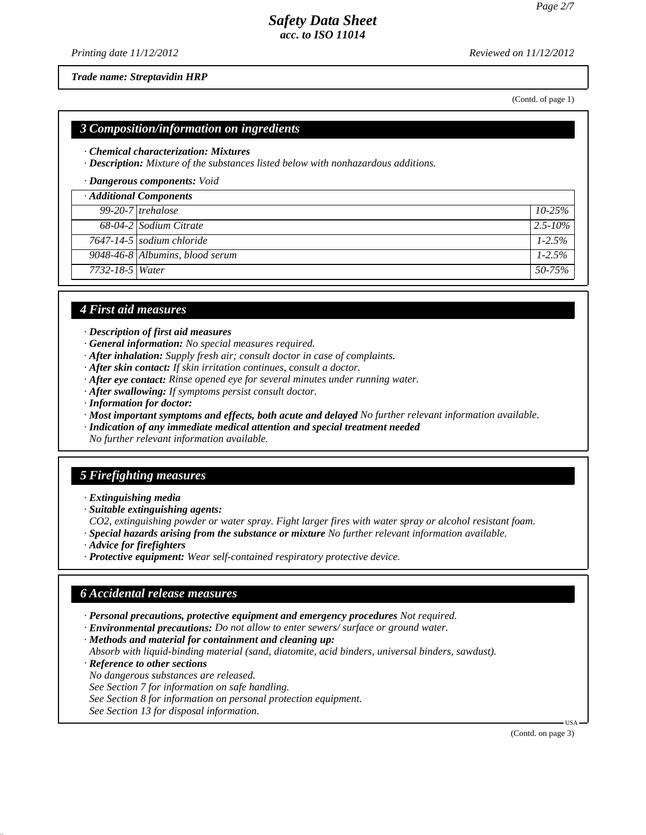*Printing date 11/12/2012 Reviewed on 11/12/2012*

*Trade name: Streptavidin HRP*

(Contd. of page 1)

#### *3 Composition/information on ingredients*

#### *· Chemical characterization: Mixtures*

*· Description: Mixture of the substances listed below with nonhazardous additions.*

*· Dangerous components: Void*

|                 | · Additional Components         |              |
|-----------------|---------------------------------|--------------|
|                 | $99-20-7$ trehalose             | $10 - 25\%$  |
|                 | 68-04-2 Sodium Citrate          | $2.5 - 10\%$ |
|                 | $7647 - 14 - 5$ sodium chloride | $1 - 2.5\%$  |
|                 | 9048-46-8 Albumins, blood serum | $1-2.5%$     |
| 7732-18-5 Water |                                 | 50-75%       |

### *4 First aid measures*

*· Description of first aid measures*

- *· General information: No special measures required.*
- *· After inhalation: Supply fresh air; consult doctor in case of complaints.*
- *· After skin contact: If skin irritation continues, consult a doctor.*
- *· After eye contact: Rinse opened eye for several minutes under running water.*
- *· After swallowing: If symptoms persist consult doctor.*
- *· Information for doctor:*
- *· Most important symptoms and effects, both acute and delayed No further relevant information available.*
- *· Indication of any immediate medical attention and special treatment needed*

*No further relevant information available.*

### *5 Firefighting measures*

- *· Extinguishing media*
- *· Suitable extinguishing agents:*

*CO2, extinguishing powder or water spray. Fight larger fires with water spray or alcohol resistant foam.*

- *· Special hazards arising from the substance or mixture No further relevant information available.*
- *· Advice for firefighters*
- *· Protective equipment: Wear self-contained respiratory protective device.*

### *6 Accidental release measures*

- *· Personal precautions, protective equipment and emergency procedures Not required.*
- *· Environmental precautions: Do not allow to enter sewers/ surface or ground water.*

*· Methods and material for containment and cleaning up:*

*Absorb with liquid-binding material (sand, diatomite, acid binders, universal binders, sawdust).*

*· Reference to other sections*

*No dangerous substances are released.*

*See Section 7 for information on safe handling.*

*See Section 8 for information on personal protection equipment.*

*See Section 13 for disposal information.*

(Contd. on page 3)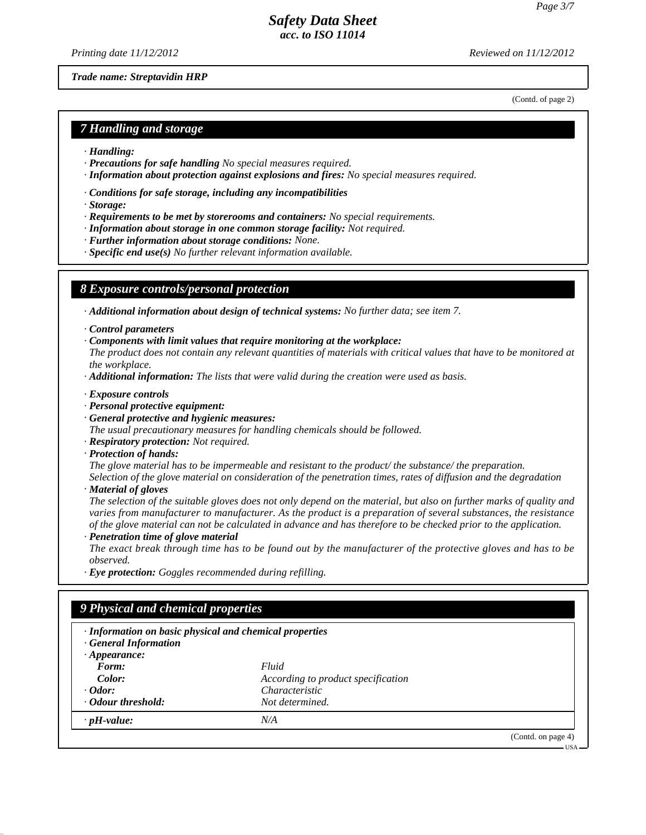(Contd. of page 2)

USA

# *Safety Data Sheet acc. to ISO 11014*

*Printing date 11/12/2012 Reviewed on 11/12/2012*

*Trade name: Streptavidin HRP*

*7 Handling and storage*

- *· Handling:*
- *· Precautions for safe handling No special measures required.*
- *· Information about protection against explosions and fires: No special measures required.*
- *· Conditions for safe storage, including any incompatibilities*
- *· Storage:*
- *· Requirements to be met by storerooms and containers: No special requirements.*
- *· Information about storage in one common storage facility: Not required.*
- *· Further information about storage conditions: None.*
- *· Specific end use(s) No further relevant information available.*

### *8 Exposure controls/personal protection*

*· Additional information about design of technical systems: No further data; see item 7.*

- *· Control parameters*
- *· Components with limit values that require monitoring at the workplace:*
- *The product does not contain any relevant quantities of materials with critical values that have to be monitored at the workplace.*
- *· Additional information: The lists that were valid during the creation were used as basis.*
- *· Exposure controls*
- *· Personal protective equipment:*
- *· General protective and hygienic measures:*
- *The usual precautionary measures for handling chemicals should be followed.*
- *· Respiratory protection: Not required.*
- *· Protection of hands:*

*The glove material has to be impermeable and resistant to the product/ the substance/ the preparation. Selection of the glove material on consideration of the penetration times, rates of diffusion and the degradation*

- *· Material of gloves*
- *The selection of the suitable gloves does not only depend on the material, but also on further marks of quality and varies from manufacturer to manufacturer. As the product is a preparation of several substances, the resistance of the glove material can not be calculated in advance and has therefore to be checked prior to the application.*
- *· Penetration time of glove material*

*The exact break through time has to be found out by the manufacturer of the protective gloves and has to be observed.*

*· Eye protection: Goggles recommended during refilling.*

# *9 Physical and chemical properties*

| · Information on basic physical and chemical properties<br><b>General Information</b> |                                    |                    |
|---------------------------------------------------------------------------------------|------------------------------------|--------------------|
| $\cdot$ Appearance:                                                                   |                                    |                    |
| Form:                                                                                 | Fluid                              |                    |
| Color:<br>$\cdot$ Odor:                                                               | According to product specification |                    |
|                                                                                       | <i>Characteristic</i>              |                    |
| • Odour threshold:                                                                    | Not determined.                    |                    |
| $\cdot$ pH-value:                                                                     | N/A                                |                    |
|                                                                                       |                                    | (Contd. on page 4) |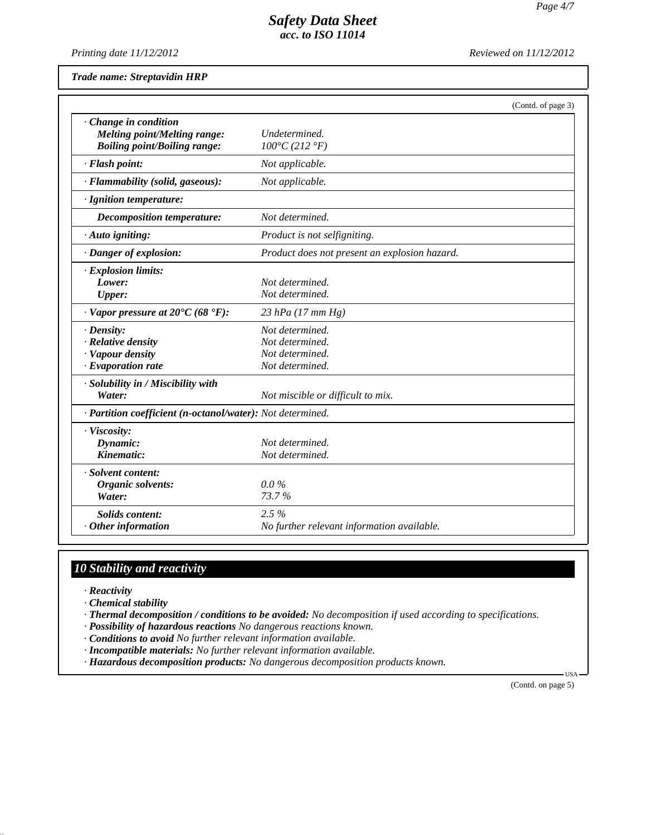*Printing date 11/12/2012 Reviewed on 11/12/2012*

*Trade name: Streptavidin HRP*

|                                                            | (Contd. of page 3)                            |  |
|------------------------------------------------------------|-----------------------------------------------|--|
| Change in condition                                        |                                               |  |
| <b>Melting point/Melting range:</b>                        | Undetermined.                                 |  |
| <b>Boiling point/Boiling range:</b>                        | $100^{\circ}C(212^{\circ}F)$                  |  |
| · Flash point:                                             | Not applicable.                               |  |
| · Flammability (solid, gaseous):                           | Not applicable.                               |  |
| · Ignition temperature:                                    |                                               |  |
| <b>Decomposition temperature:</b>                          | Not determined.                               |  |
| · Auto igniting:                                           | Product is not selfigniting.                  |  |
| · Danger of explosion:                                     | Product does not present an explosion hazard. |  |
| · Explosion limits:                                        |                                               |  |
| Lower:                                                     | Not determined.                               |  |
| <b>Upper:</b>                                              | Not determined.                               |  |
| $\cdot$ Vapor pressure at 20°C (68 °F):                    | 23 hPa (17 mm Hg)                             |  |
| $\cdot$ Density:                                           | Not determined.                               |  |
| · Relative density                                         | Not determined.                               |  |
| · Vapour density                                           | Not determined.                               |  |
| · Evaporation rate                                         | Not determined.                               |  |
| · Solubility in / Miscibility with                         |                                               |  |
| Water:                                                     | Not miscible or difficult to mix.             |  |
| · Partition coefficient (n-octanol/water): Not determined. |                                               |  |
| · Viscosity:                                               |                                               |  |
| Dynamic:                                                   | Not determined.                               |  |
| Kinematic:                                                 | Not determined.                               |  |
| · Solvent content:                                         |                                               |  |
| Organic solvents:                                          | $0.0\%$                                       |  |
| Water:                                                     | 73.7%                                         |  |
| Solids content:                                            | 2.5%                                          |  |
| $·$ Other information                                      | No further relevant information available.    |  |

# *10 Stability and reactivity*

*· Reactivity*

*· Chemical stability*

- *· Thermal decomposition / conditions to be avoided: No decomposition if used according to specifications.*
- *· Possibility of hazardous reactions No dangerous reactions known.*

*· Conditions to avoid No further relevant information available.*

*· Incompatible materials: No further relevant information available.*

*· Hazardous decomposition products: No dangerous decomposition products known.*

(Contd. on page 5)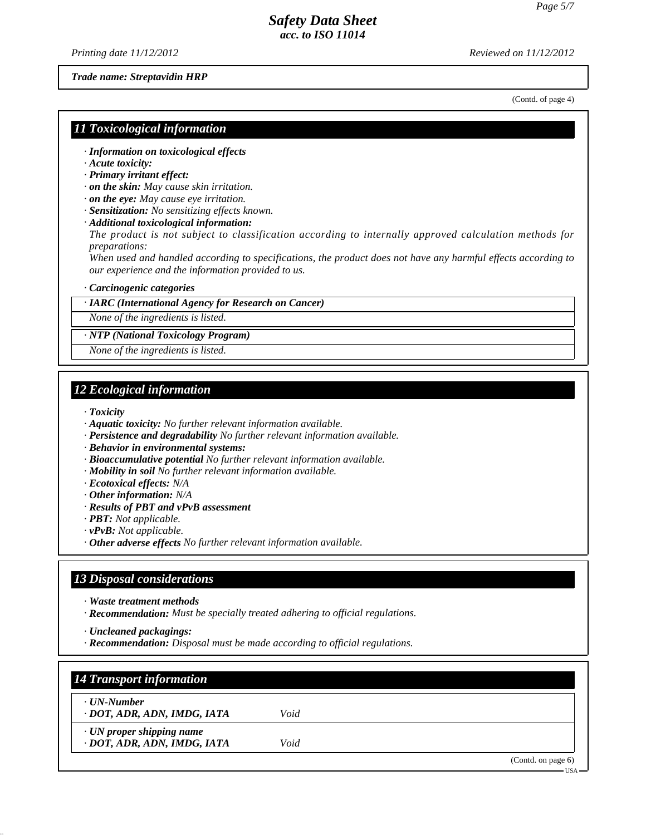*Printing date 11/12/2012 Reviewed on 11/12/2012*

*Trade name: Streptavidin HRP*

(Contd. of page 4)

### *11 Toxicological information*

- *· Information on toxicological effects*
- *· Acute toxicity:*
- *· Primary irritant effect:*
- *· on the skin: May cause skin irritation.*
- *· on the eye: May cause eye irritation.*
- *· Sensitization: No sensitizing effects known.*
- *· Additional toxicological information:*

*The product is not subject to classification according to internally approved calculation methods for preparations:*

*When used and handled according to specifications, the product does not have any harmful effects according to our experience and the information provided to us.*

#### *· Carcinogenic categories*

#### *· IARC (International Agency for Research on Cancer)*

*None of the ingredients is listed.*

*· NTP (National Toxicology Program)*

*None of the ingredients is listed.*

## *12 Ecological information*

*· Toxicity*

- *· Aquatic toxicity: No further relevant information available.*
- *· Persistence and degradability No further relevant information available.*
- *· Behavior in environmental systems:*
- *· Bioaccumulative potential No further relevant information available.*
- *· Mobility in soil No further relevant information available.*
- *· Ecotoxical effects: N/A*
- *· Other information: N/A*
- *· Results of PBT and vPvB assessment*
- *· PBT: Not applicable.*
- *· vPvB: Not applicable.*
- *· Other adverse effects No further relevant information available.*

#### *13 Disposal considerations*

- *· Waste treatment methods*
- *· Recommendation: Must be specially treated adhering to official regulations.*

*· Uncleaned packagings:*

*· Recommendation: Disposal must be made according to official regulations.*

| · UN-Number                     |      |  |
|---------------------------------|------|--|
| · DOT, ADR, ADN, IMDG, IATA     | Void |  |
| $\cdot$ UN proper shipping name |      |  |
| · DOT, ADR, ADN, IMDG, IATA     | Void |  |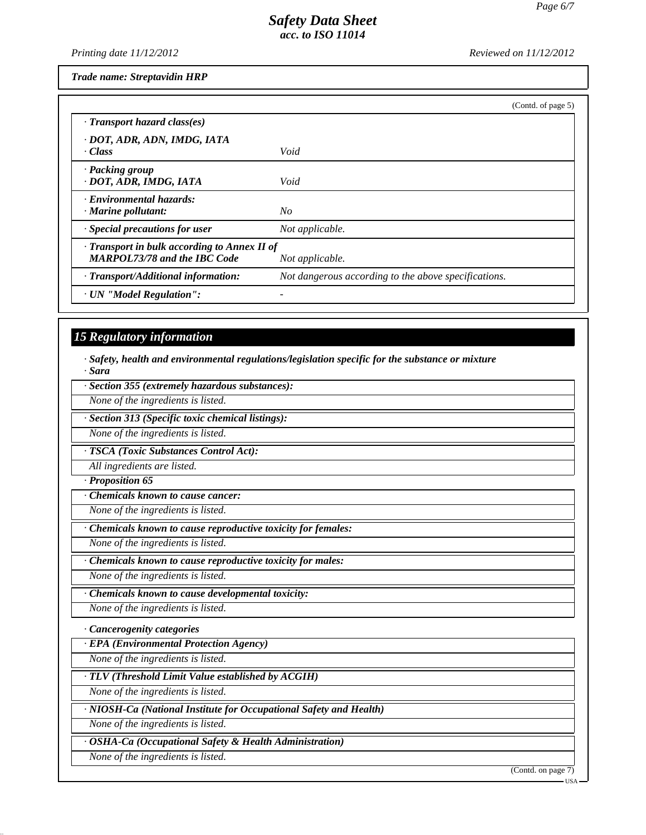*Printing date 11/12/2012 Reviewed on 11/12/2012*

*Trade name: Streptavidin HRP*

|                                                                                     | (Contd. of page 5)                                   |
|-------------------------------------------------------------------------------------|------------------------------------------------------|
| $\cdot$ Transport hazard class(es)                                                  |                                                      |
| · DOT, ADR, ADN, IMDG, IATA<br>· Class                                              | Void                                                 |
| · Packing group<br>· DOT, ADR, IMDG, IATA                                           | Void                                                 |
| Environmental hazards:<br>$\cdot$ Marine pollutant:                                 | No                                                   |
| $\cdot$ Special precautions for user                                                | Not applicable.                                      |
| · Transport in bulk according to Annex II of<br><b>MARPOL73/78 and the IBC Code</b> | Not applicable.                                      |
| · Transport/Additional information:                                                 | Not dangerous according to the above specifications. |
| · UN "Model Regulation":                                                            |                                                      |

# *15 Regulatory information*

*· Safety, health and environmental regulations/legislation specific for the substance or mixture · Sara*

*· Section 355 (extremely hazardous substances):*

*None of the ingredients is listed.*

*· Section 313 (Specific toxic chemical listings):*

*None of the ingredients is listed.*

*· TSCA (Toxic Substances Control Act):*

*All ingredients are listed.*

*· Proposition 65*

*· Chemicals known to cause cancer:*

*None of the ingredients is listed.*

*· Chemicals known to cause reproductive toxicity for females:*

*None of the ingredients is listed.*

*· Chemicals known to cause reproductive toxicity for males:*

*None of the ingredients is listed.*

*· Chemicals known to cause developmental toxicity:*

*None of the ingredients is listed.*

*· Cancerogenity categories*

*· EPA (Environmental Protection Agency)*

*None of the ingredients is listed.*

*· TLV (Threshold Limit Value established by ACGIH)*

*None of the ingredients is listed.*

*· NIOSH-Ca (National Institute for Occupational Safety and Health)*

*None of the ingredients is listed.*

*· OSHA-Ca (Occupational Safety & Health Administration)*

*None of the ingredients is listed.*

(Contd. on page 7)

USA